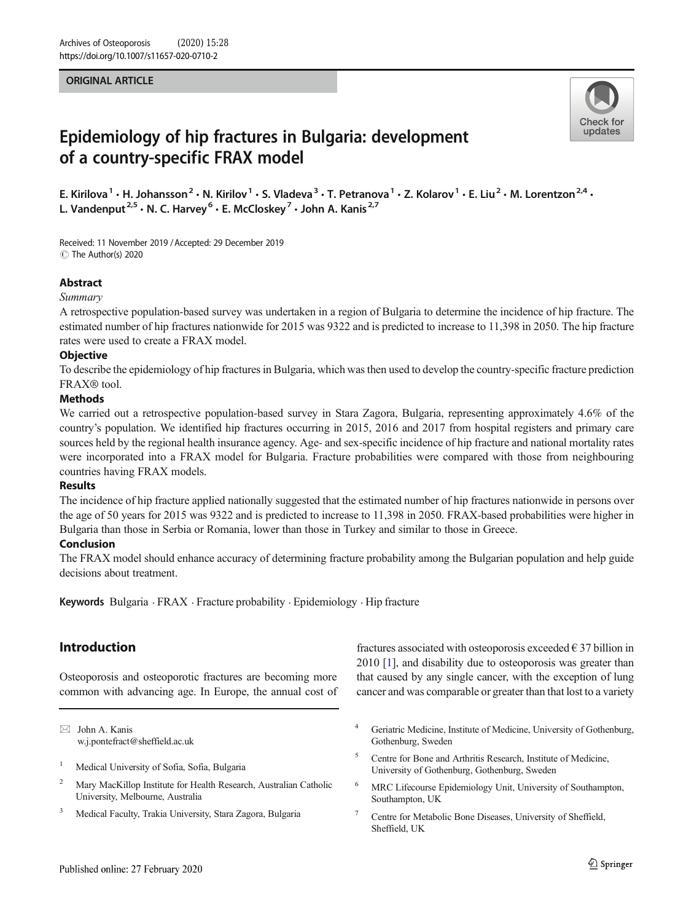### ORIGINAL ARTICLE



# Epidemiology of hip fractures in Bulgaria: development of a country-specific FRAX model

E. Kirilova<sup>1</sup> · H. Johansson<sup>2</sup> · N. Kirilov<sup>1</sup> · S. Vladeva<sup>3</sup> · T. Petranova<sup>1</sup> · Z. Kolarov<sup>1</sup> · E. Liu<sup>2</sup> · M. Lorentzon<sup>2,4</sup> · L. Vandenput<sup>2,5</sup>  $\cdot$  N. C. Harvey<sup>6</sup>  $\cdot$  E. McCloskey<sup>7</sup>  $\cdot$  John A. Kanis<sup>2,7</sup>

Received: 11 November 2019 /Accepted: 29 December 2019 C The Author(s) 2020

# Abstract

### Summary

A retrospective population-based survey was undertaken in a region of Bulgaria to determine the incidence of hip fracture. The estimated number of hip fractures nationwide for 2015 was 9322 and is predicted to increase to 11,398 in 2050. The hip fracture rates were used to create a FRAX model.

# **Objective**

To describe the epidemiology of hip fractures in Bulgaria, which was then used to develop the country-specific fracture prediction FRAX® tool.

### Methods

We carried out a retrospective population-based survey in Stara Zagora, Bulgaria, representing approximately 4.6% of the country's population. We identified hip fractures occurring in 2015, 2016 and 2017 from hospital registers and primary care sources held by the regional health insurance agency. Age- and sex-specific incidence of hip fracture and national mortality rates were incorporated into a FRAX model for Bulgaria. Fracture probabilities were compared with those from neighbouring countries having FRAX models.

### **Results**

The incidence of hip fracture applied nationally suggested that the estimated number of hip fractures nationwide in persons over the age of 50 years for 2015 was 9322 and is predicted to increase to 11,398 in 2050. FRAX-based probabilities were higher in Bulgaria than those in Serbia or Romania, lower than those in Turkey and similar to those in Greece.

# Conclusion

The FRAX model should enhance accuracy of determining fracture probability among the Bulgarian population and help guide decisions about treatment.

Keywords Bulgaria . FRAX . Fracture probability . Epidemiology . Hip fracture

# Introduction

Osteoporosis and osteoporotic fractures are becoming more common with advancing age. In Europe, the annual cost of

 $\boxtimes$  John A. Kanis [w.j.pontefract@sheffield.ac.uk](mailto:w.j.pontefract@sheffield.ac.uk)

- <sup>2</sup> Mary MacKillop Institute for Health Research, Australian Catholic University, Melbourne, Australia
- <sup>3</sup> Medical Faculty, Trakia University, Stara Zagora, Bulgaria

fractures associated with osteoporosis exceeded  $\epsilon$  37 billion in 2010 [[1\]](#page-4-0), and disability due to osteoporosis was greater than that caused by any single cancer, with the exception of lung cancer and was comparable or greater than that lost to a variety

- <sup>4</sup> Geriatric Medicine, Institute of Medicine, University of Gothenburg, Gothenburg, Sweden
- <sup>5</sup> Centre for Bone and Arthritis Research, Institute of Medicine, University of Gothenburg, Gothenburg, Sweden
- <sup>6</sup> MRC Lifecourse Epidemiology Unit, University of Southampton, Southampton, UK
- <sup>7</sup> Centre for Metabolic Bone Diseases, University of Sheffield, Sheffield, UK

<sup>&</sup>lt;sup>1</sup> Medical University of Sofia, Sofia, Bulgaria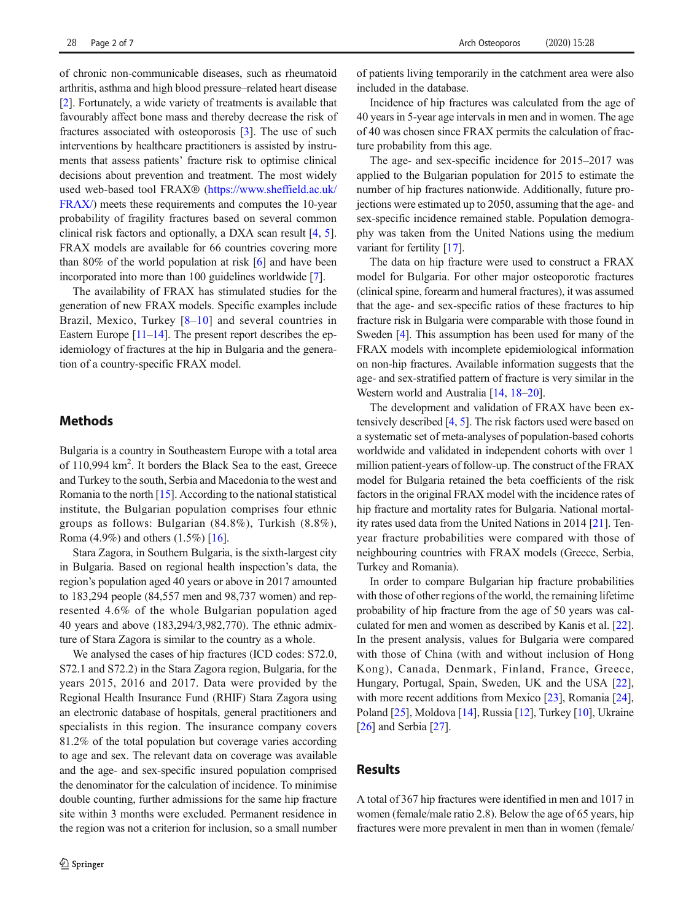of chronic non-communicable diseases, such as rheumatoid arthritis, asthma and high blood pressure–related heart disease [\[2](#page-4-0)]. Fortunately, a wide variety of treatments is available that favourably affect bone mass and thereby decrease the risk of fractures associated with osteoporosis [\[3](#page-4-0)]. The use of such interventions by healthcare practitioners is assisted by instruments that assess patients' fracture risk to optimise clinical decisions about prevention and treatment. The most widely used web-based tool FRAX® [\(https://www.sheffield.ac.uk/](https://www.sheffield.ac.uk/FRAX/) [FRAX/\)](https://www.sheffield.ac.uk/FRAX/) meets these requirements and computes the 10-year probability of fragility fractures based on several common clinical risk factors and optionally, a DXA scan result [\[4](#page-4-0), [5\]](#page-4-0). FRAX models are available for 66 countries covering more than 80% of the world population at risk [\[6](#page-4-0)] and have been incorporated into more than 100 guidelines worldwide [\[7\]](#page-4-0).

The availability of FRAX has stimulated studies for the generation of new FRAX models. Specific examples include Brazil, Mexico, Turkey [\[8](#page-5-0)–[10](#page-5-0)] and several countries in Eastern Europe [[11](#page-5-0)–[14\]](#page-5-0). The present report describes the epidemiology of fractures at the hip in Bulgaria and the generation of a country-specific FRAX model.

# **Methods**

Bulgaria is a country in Southeastern Europe with a total area of 110,994 km<sup>2</sup>. It borders the Black Sea to the east, Greece and Turkey to the south, Serbia and Macedonia to the west and Romania to the north  $[15]$  $[15]$ . According to the national statistical institute, the Bulgarian population comprises four ethnic groups as follows: Bulgarian (84.8%), Turkish (8.8%), Roma (4.9%) and others (1.5%) [[16](#page-5-0)].

Stara Zagora, in Southern Bulgaria, is the sixth-largest city in Bulgaria. Based on regional health inspection's data, the region's population aged 40 years or above in 2017 amounted to 183,294 people (84,557 men and 98,737 women) and represented 4.6% of the whole Bulgarian population aged 40 years and above (183,294/3,982,770). The ethnic admixture of Stara Zagora is similar to the country as a whole.

We analysed the cases of hip fractures (ICD codes: S72.0, S72.1 and S72.2) in the Stara Zagora region, Bulgaria, for the years 2015, 2016 and 2017. Data were provided by the Regional Health Insurance Fund (RHIF) Stara Zagora using an electronic database of hospitals, general practitioners and specialists in this region. The insurance company covers 81.2% of the total population but coverage varies according to age and sex. The relevant data on coverage was available and the age- and sex-specific insured population comprised the denominator for the calculation of incidence. To minimise double counting, further admissions for the same hip fracture site within 3 months were excluded. Permanent residence in the region was not a criterion for inclusion, so a small number of patients living temporarily in the catchment area were also included in the database.

Incidence of hip fractures was calculated from the age of 40 years in 5-year age intervals in men and in women. The age of 40 was chosen since FRAX permits the calculation of fracture probability from this age.

The age- and sex-specific incidence for 2015–2017 was applied to the Bulgarian population for 2015 to estimate the number of hip fractures nationwide. Additionally, future projections were estimated up to 2050, assuming that the age- and sex-specific incidence remained stable. Population demography was taken from the United Nations using the medium variant for fertility [[17](#page-5-0)].

The data on hip fracture were used to construct a FRAX model for Bulgaria. For other major osteoporotic fractures (clinical spine, forearm and humeral fractures), it was assumed that the age- and sex-specific ratios of these fractures to hip fracture risk in Bulgaria were comparable with those found in Sweden [\[4](#page-4-0)]. This assumption has been used for many of the FRAX models with incomplete epidemiological information on non-hip fractures. Available information suggests that the age- and sex-stratified pattern of fracture is very similar in the Western world and Australia [\[14](#page-5-0), [18](#page-5-0)–[20\]](#page-5-0).

The development and validation of FRAX have been extensively described [\[4](#page-4-0), [5\]](#page-4-0). The risk factors used were based on a systematic set of meta-analyses of population-based cohorts worldwide and validated in independent cohorts with over 1 million patient-years of follow-up. The construct of the FRAX model for Bulgaria retained the beta coefficients of the risk factors in the original FRAX model with the incidence rates of hip fracture and mortality rates for Bulgaria. National mortality rates used data from the United Nations in 2014 [[21\]](#page-5-0). Tenyear fracture probabilities were compared with those of neighbouring countries with FRAX models (Greece, Serbia, Turkey and Romania).

In order to compare Bulgarian hip fracture probabilities with those of other regions of the world, the remaining lifetime probability of hip fracture from the age of 50 years was calculated for men and women as described by Kanis et al. [[22\]](#page-5-0). In the present analysis, values for Bulgaria were compared with those of China (with and without inclusion of Hong Kong), Canada, Denmark, Finland, France, Greece, Hungary, Portugal, Spain, Sweden, UK and the USA [[22\]](#page-5-0), with more recent additions from Mexico [[23\]](#page-5-0), Romania [[24\]](#page-5-0), Poland [\[25](#page-5-0)], Moldova [\[14](#page-5-0)], Russia [\[12\]](#page-5-0), Turkey [[10](#page-5-0)], Ukraine [\[26](#page-5-0)] and Serbia [\[27\]](#page-5-0).

# Results

A total of 367 hip fractures were identified in men and 1017 in women (female/male ratio 2.8). Below the age of 65 years, hip fractures were more prevalent in men than in women (female/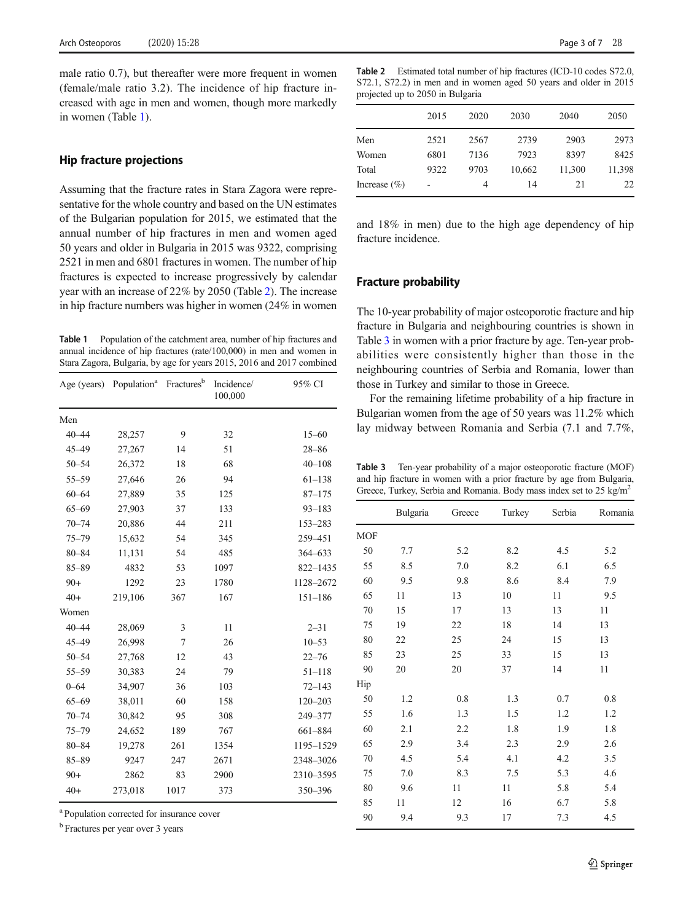<span id="page-2-0"></span>male ratio 0.7), but thereafter were more frequent in women (female/male ratio 3.2). The incidence of hip fracture increased with age in men and women, though more markedly in women (Table 1).

# Hip fracture projections

Assuming that the fracture rates in Stara Zagora were representative for the whole country and based on the UN estimates of the Bulgarian population for 2015, we estimated that the annual number of hip fractures in men and women aged 50 years and older in Bulgaria in 2015 was 9322, comprising 2521 in men and 6801 fractures in women. The number of hip fractures is expected to increase progressively by calendar year with an increase of 22% by 2050 (Table 2). The increase in hip fracture numbers was higher in women (24% in women

Table 1 Population of the catchment area, number of hip fractures and annual incidence of hip fractures (rate/100,000) in men and women in Stara Zagora, Bulgaria, by age for years 2015, 2016 and 2017 combined

| Age (years) | Population <sup>a</sup> | Fractures <sup>b</sup> | Incidence/<br>100,000 | 95% CI      |
|-------------|-------------------------|------------------------|-----------------------|-------------|
| Men         |                         |                        |                       |             |
| $40 - 44$   | 28,257                  | 9                      | 32                    | $15 - 60$   |
| $45 - 49$   | 27,267                  | 14                     | 51                    | $28 - 86$   |
| $50 - 54$   | 26,372                  | 18                     | 68                    | $40 - 108$  |
| $55 - 59$   | 27,646                  | 26                     | 94                    | $61 - 138$  |
| $60 - 64$   | 27,889                  | 35                     | 125                   | $87 - 175$  |
| $65 - 69$   | 27,903                  | 37                     | 133                   | $93 - 183$  |
| $70 - 74$   | 20,886                  | 44                     | 211                   | 153-283     |
| $75 - 79$   | 15,632                  | 54                     | 345                   | 259-451     |
| $80 - 84$   | 11,131                  | 54                     | 485                   | 364-633     |
| $85 - 89$   | 4832                    | 53                     | 1097                  | 822-1435    |
| $90+$       | 1292                    | 23                     | 1780                  | 1128-2672   |
| $40+$       | 219,106                 | 367                    | 167                   | $151 - 186$ |
| Women       |                         |                        |                       |             |
| $40 - 44$   | 28,069                  | 3                      | 11                    | $2 - 31$    |
| $45 - 49$   | 26,998                  | 7                      | 26                    | $10 - 53$   |
| $50 - 54$   | 27,768                  | 12                     | 43                    | $22 - 76$   |
| $55 - 59$   | 30,383                  | 24                     | 79                    | $51 - 118$  |
| $0 - 64$    | 34,907                  | 36                     | 103                   | $72 - 143$  |
| $65 - 69$   | 38,011                  | 60                     | 158                   | $120 - 203$ |
| $70 - 74$   | 30,842                  | 95                     | 308                   | 249-377     |
| $75 - 79$   | 24,652                  | 189                    | 767                   | 661-884     |
| $80 - 84$   | 19,278                  | 261                    | 1354                  | 1195-1529   |
| $85 - 89$   | 9247                    | 247                    | 2671                  | 2348-3026   |
| $90+$       | 2862                    | 83                     | 2900                  | 2310-3595   |
| $40+$       | 273,018                 | 1017                   | 373                   | 350-396     |

<sup>a</sup> Population corrected for insurance cover

<sup>b</sup> Fractures per year over 3 years

Table 2 Estimated total number of hip fractures (ICD-10 codes S72.0, S72.1, S72.2) in men and in women aged 50 years and older in 2015 projected up to 2050 in Bulgaria

|                  | 2015 | 2020 | 2030   | 2040   | 2050   |
|------------------|------|------|--------|--------|--------|
| Men              | 2521 | 2567 | 2739   | 2903   | 2973   |
| Women            | 6801 | 7136 | 7923   | 8397   | 8425   |
| Total            | 9322 | 9703 | 10,662 | 11,300 | 11,398 |
| Increase $(\% )$ |      | 4    | 14     | 21     | 22     |

and 18% in men) due to the high age dependency of hip fracture incidence.

### Fracture probability

The 10-year probability of major osteoporotic fracture and hip fracture in Bulgaria and neighbouring countries is shown in Table 3 in women with a prior fracture by age. Ten-year probabilities were consistently higher than those in the neighbouring countries of Serbia and Romania, lower than those in Turkey and similar to those in Greece.

For the remaining lifetime probability of a hip fracture in Bulgarian women from the age of 50 years was 11.2% which lay midway between Romania and Serbia (7.1 and 7.7%,

Table 3 Ten-year probability of a major osteoporotic fracture (MOF) and hip fracture in women with a prior fracture by age from Bulgaria, Greece, Turkey, Serbia and Romania. Body mass index set to 25 kg/m<sup>2</sup>

| <b>MOF</b> | 7.7 |     |     |     |     |
|------------|-----|-----|-----|-----|-----|
|            |     |     |     |     |     |
| 50         |     | 5.2 | 8.2 | 4.5 | 5.2 |
| 55         | 8.5 | 7.0 | 8.2 | 6.1 | 6.5 |
| 60         | 9.5 | 9.8 | 8.6 | 8.4 | 7.9 |
| 65         | 11  | 13  | 10  | 11  | 9.5 |
| 70         | 15  | 17  | 13  | 13  | 11  |
| 75         | 19  | 22  | 18  | 14  | 13  |
| 80         | 22  | 25  | 24  | 15  | 13  |
| 85         | 23  | 25  | 33  | 15  | 13  |
| 90         | 20  | 20  | 37  | 14  | 11  |
| Hip        |     |     |     |     |     |
| 50         | 1.2 | 0.8 | 1.3 | 0.7 | 0.8 |
| 55         | 1.6 | 1.3 | 1.5 | 1.2 | 1.2 |
| 60         | 2.1 | 2.2 | 1.8 | 1.9 | 1.8 |
| 65         | 2.9 | 3.4 | 2.3 | 2.9 | 2.6 |
| 70         | 4.5 | 5.4 | 4.1 | 4.2 | 3.5 |
| 75         | 7.0 | 8.3 | 7.5 | 5.3 | 4.6 |
| 80         | 9.6 | 11  | 11  | 5.8 | 5.4 |
| 85         | 11  | 12  | 16  | 6.7 | 5.8 |
| 90         | 9.4 | 9.3 | 17  | 7.3 | 4.5 |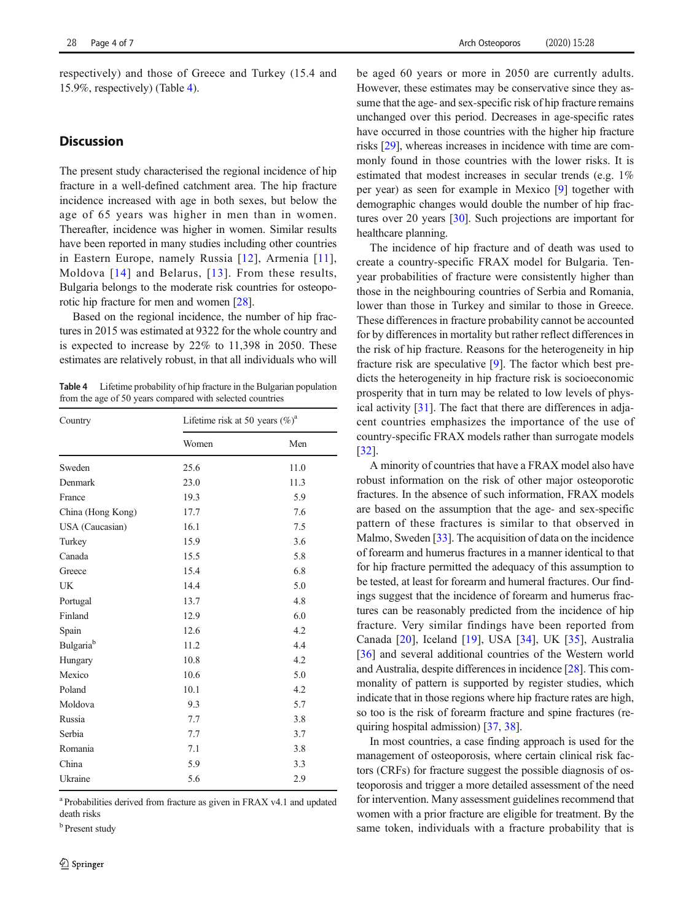respectively) and those of Greece and Turkey (15.4 and 15.9%, respectively) (Table 4).

# **Discussion**

The present study characterised the regional incidence of hip fracture in a well-defined catchment area. The hip fracture incidence increased with age in both sexes, but below the age of 65 years was higher in men than in women. Thereafter, incidence was higher in women. Similar results have been reported in many studies including other countries in Eastern Europe, namely Russia [\[12](#page-5-0)], Armenia [[11](#page-5-0)], Moldova [[14](#page-5-0)] and Belarus, [[13](#page-5-0)]. From these results, Bulgaria belongs to the moderate risk countries for osteoporotic hip fracture for men and women [\[28\]](#page-5-0).

Based on the regional incidence, the number of hip fractures in 2015 was estimated at 9322 for the whole country and is expected to increase by 22% to 11,398 in 2050. These estimates are relatively robust, in that all individuals who will

Table 4 Lifetime probability of hip fracture in the Bulgarian population from the age of 50 years compared with selected countries

| Country                      | Lifetime risk at 50 years $(\%)^a$ |      |  |
|------------------------------|------------------------------------|------|--|
|                              | Women                              | Men  |  |
| Sweden                       | 25.6                               | 11.0 |  |
| Denmark                      | 23.0                               | 11.3 |  |
| France                       | 19.3                               | 5.9  |  |
| China (Hong Kong)            | 17.7                               | 7.6  |  |
| USA (Caucasian)              | 16.1                               | 7.5  |  |
| Turkey                       | 15.9                               | 3.6  |  |
| Canada                       | 15.5                               | 5.8  |  |
| Greece                       | 15.4                               | 6.8  |  |
| UK                           | 14.4                               | 5.0  |  |
| Portugal                     | 13.7                               | 4.8  |  |
| Finland                      | 12.9                               | 6.0  |  |
| Spain                        | 12.6                               | 4.2  |  |
| <b>Bulgaria</b> <sup>b</sup> | 11.2                               | 4.4  |  |
| Hungary                      | 10.8                               | 4.2  |  |
| Mexico                       | 10.6                               | 5.0  |  |
| Poland                       | 10.1                               | 4.2  |  |
| Moldova                      | 9.3                                | 5.7  |  |
| Russia                       | 7.7                                | 3.8  |  |
| Serbia                       | 7.7                                | 3.7  |  |
| Romania                      | 7.1                                | 3.8  |  |
| China                        | 5.9                                | 3.3  |  |
| Ukraine                      | 5.6                                | 2.9  |  |

<sup>a</sup> Probabilities derived from fracture as given in FRAX v4.1 and updated death risks

**b** Present study

be aged 60 years or more in 2050 are currently adults. However, these estimates may be conservative since they assume that the age- and sex-specific risk of hip fracture remains unchanged over this period. Decreases in age-specific rates have occurred in those countries with the higher hip fracture risks [\[29\]](#page-5-0), whereas increases in incidence with time are commonly found in those countries with the lower risks. It is estimated that modest increases in secular trends (e.g. 1% per year) as seen for example in Mexico [\[9](#page-5-0)] together with demographic changes would double the number of hip fractures over 20 years [\[30\]](#page-5-0). Such projections are important for healthcare planning.

The incidence of hip fracture and of death was used to create a country-specific FRAX model for Bulgaria. Tenyear probabilities of fracture were consistently higher than those in the neighbouring countries of Serbia and Romania, lower than those in Turkey and similar to those in Greece. These differences in fracture probability cannot be accounted for by differences in mortality but rather reflect differences in the risk of hip fracture. Reasons for the heterogeneity in hip fracture risk are speculative [[9\]](#page-5-0). The factor which best predicts the heterogeneity in hip fracture risk is socioeconomic prosperity that in turn may be related to low levels of physical activity [[31\]](#page-5-0). The fact that there are differences in adjacent countries emphasizes the importance of the use of country-specific FRAX models rather than surrogate models [\[32](#page-5-0)].

A minority of countries that have a FRAX model also have robust information on the risk of other major osteoporotic fractures. In the absence of such information, FRAX models are based on the assumption that the age- and sex-specific pattern of these fractures is similar to that observed in Malmo, Sweden [[33](#page-5-0)]. The acquisition of data on the incidence of forearm and humerus fractures in a manner identical to that for hip fracture permitted the adequacy of this assumption to be tested, at least for forearm and humeral fractures. Our findings suggest that the incidence of forearm and humerus fractures can be reasonably predicted from the incidence of hip fracture. Very similar findings have been reported from Canada [\[20](#page-5-0)], Iceland [[19\]](#page-5-0), USA [[34\]](#page-5-0), UK [[35](#page-5-0)], Australia [\[36](#page-5-0)] and several additional countries of the Western world and Australia, despite differences in incidence [[28](#page-5-0)]. This commonality of pattern is supported by register studies, which indicate that in those regions where hip fracture rates are high, so too is the risk of forearm fracture and spine fractures (requiring hospital admission) [\[37,](#page-5-0) [38\]](#page-5-0).

In most countries, a case finding approach is used for the management of osteoporosis, where certain clinical risk factors (CRFs) for fracture suggest the possible diagnosis of osteoporosis and trigger a more detailed assessment of the need for intervention. Many assessment guidelines recommend that women with a prior fracture are eligible for treatment. By the same token, individuals with a fracture probability that is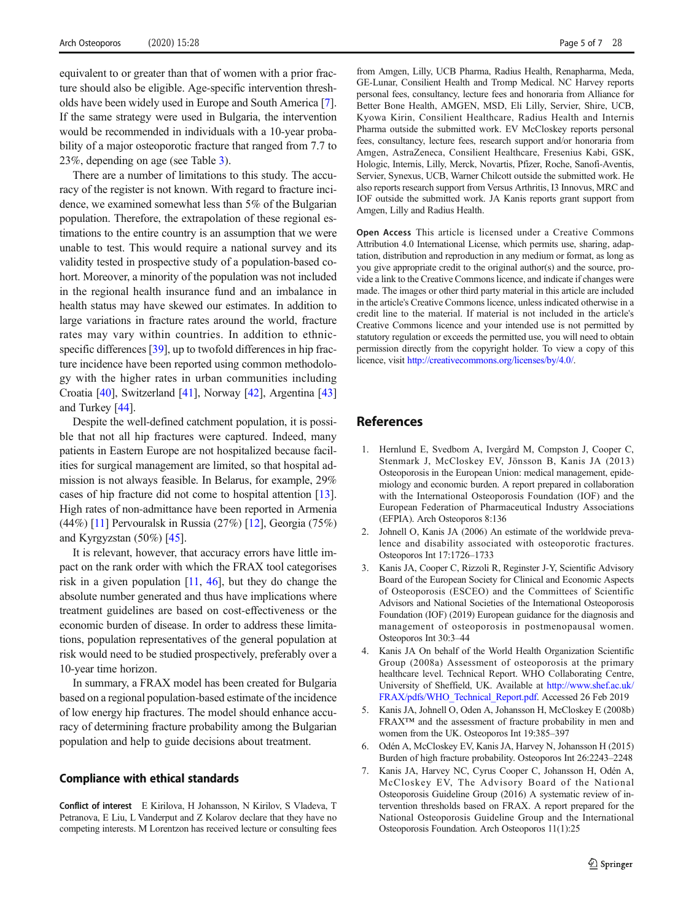<span id="page-4-0"></span>equivalent to or greater than that of women with a prior fracture should also be eligible. Age-specific intervention thresholds have been widely used in Europe and South America [7]. If the same strategy were used in Bulgaria, the intervention would be recommended in individuals with a 10-year probability of a major osteoporotic fracture that ranged from 7.7 to 23%, depending on age (see Table [3\)](#page-2-0).

There are a number of limitations to this study. The accuracy of the register is not known. With regard to fracture incidence, we examined somewhat less than 5% of the Bulgarian population. Therefore, the extrapolation of these regional estimations to the entire country is an assumption that we were unable to test. This would require a national survey and its validity tested in prospective study of a population-based cohort. Moreover, a minority of the population was not included in the regional health insurance fund and an imbalance in health status may have skewed our estimates. In addition to large variations in fracture rates around the world, fracture rates may vary within countries. In addition to ethnic-specific differences [[39\]](#page-5-0), up to twofold differences in hip fracture incidence have been reported using common methodology with the higher rates in urban communities including Croatia [[40](#page-5-0)], Switzerland [[41](#page-6-0)], Norway [[42\]](#page-6-0), Argentina [\[43\]](#page-6-0) and Turkey [\[44](#page-6-0)].

Despite the well-defined catchment population, it is possible that not all hip fractures were captured. Indeed, many patients in Eastern Europe are not hospitalized because facilities for surgical management are limited, so that hospital admission is not always feasible. In Belarus, for example, 29% cases of hip fracture did not come to hospital attention [[13\]](#page-5-0). High rates of non-admittance have been reported in Armenia (44%) [[11](#page-5-0)] Pervouralsk in Russia (27%) [\[12](#page-5-0)], Georgia (75%) and Kyrgyzstan (50%) [\[45\]](#page-6-0).

It is relevant, however, that accuracy errors have little impact on the rank order with which the FRAX tool categorises risk in a given population [[11](#page-5-0), [46](#page-6-0)], but they do change the absolute number generated and thus have implications where treatment guidelines are based on cost-effectiveness or the economic burden of disease. In order to address these limitations, population representatives of the general population at risk would need to be studied prospectively, preferably over a 10-year time horizon.

In summary, a FRAX model has been created for Bulgaria based on a regional population-based estimate of the incidence of low energy hip fractures. The model should enhance accuracy of determining fracture probability among the Bulgarian population and help to guide decisions about treatment.

#### Compliance with ethical standards

Conflict of interest E Kirilova, H Johansson, N Kirilov, S Vladeva, T Petranova, E Liu, L Vanderput and Z Kolarov declare that they have no competing interests. M Lorentzon has received lecture or consulting fees

from Amgen, Lilly, UCB Pharma, Radius Health, Renapharma, Meda, GE-Lunar, Consilient Health and Tromp Medical. NC Harvey reports personal fees, consultancy, lecture fees and honoraria from Alliance for Better Bone Health, AMGEN, MSD, Eli Lilly, Servier, Shire, UCB, Kyowa Kirin, Consilient Healthcare, Radius Health and Internis Pharma outside the submitted work. EV McCloskey reports personal fees, consultancy, lecture fees, research support and/or honoraria from Amgen, AstraZeneca, Consilient Healthcare, Fresenius Kabi, GSK, Hologic, Internis, Lilly, Merck, Novartis, Pfizer, Roche, Sanofi-Aventis, Servier, Synexus, UCB, Warner Chilcott outside the submitted work. He also reports research support from Versus Arthritis, I3 Innovus, MRC and IOF outside the submitted work. JA Kanis reports grant support from Amgen, Lilly and Radius Health.

Open Access This article is licensed under a Creative Commons Attribution 4.0 International License, which permits use, sharing, adaptation, distribution and reproduction in any medium or format, as long as you give appropriate credit to the original author(s) and the source, provide a link to the Creative Commons licence, and indicate if changes were made. The images or other third party material in this article are included in the article's Creative Commons licence, unless indicated otherwise in a credit line to the material. If material is not included in the article's Creative Commons licence and your intended use is not permitted by statutory regulation or exceeds the permitted use, you will need to obtain permission directly from the copyright holder. To view a copy of this licence, visit <http://creativecommons.org/licenses/by/4.0/>.

# References

- 1. Hernlund E, Svedbom A, Ivergård M, Compston J, Cooper C, Stenmark J, McCloskey EV, Jönsson B, Kanis JA (2013) Osteoporosis in the European Union: medical management, epidemiology and economic burden. A report prepared in collaboration with the International Osteoporosis Foundation (IOF) and the European Federation of Pharmaceutical Industry Associations (EFPIA). Arch Osteoporos 8:136
- 2. Johnell O, Kanis JA (2006) An estimate of the worldwide prevalence and disability associated with osteoporotic fractures. Osteoporos Int 17:1726–1733
- 3. Kanis JA, Cooper C, Rizzoli R, Reginster J-Y, Scientific Advisory Board of the European Society for Clinical and Economic Aspects of Osteoporosis (ESCEO) and the Committees of Scientific Advisors and National Societies of the International Osteoporosis Foundation (IOF) (2019) European guidance for the diagnosis and management of osteoporosis in postmenopausal women. Osteoporos Int 30:3–44
- Kanis JA On behalf of the World Health Organization Scientific Group (2008a) Assessment of osteoporosis at the primary healthcare level. Technical Report. WHO Collaborating Centre, University of Sheffield, UK. Available at [http://www.shef.ac.uk/](http://www.shef.ac.uk/FRAX/pdfs/WHO_Technical_Report.pdf) [FRAX/pdfs/WHO\\_Technical\\_Report.pdf.](http://www.shef.ac.uk/FRAX/pdfs/WHO_Technical_Report.pdf) Accessed 26 Feb 2019
- 5. Kanis JA, Johnell O, Oden A, Johansson H, McCloskey E (2008b) FRAX™ and the assessment of fracture probability in men and women from the UK. Osteoporos Int 19:385–397
- 6. Odén A, McCloskey EV, Kanis JA, Harvey N, Johansson H (2015) Burden of high fracture probability. Osteoporos Int 26:2243–2248
- 7. Kanis JA, Harvey NC, Cyrus Cooper C, Johansson H, Odén A, McCloskey EV, The Advisory Board of the National Osteoporosis Guideline Group (2016) A systematic review of intervention thresholds based on FRAX. A report prepared for the National Osteoporosis Guideline Group and the International Osteoporosis Foundation. Arch Osteoporos 11(1):25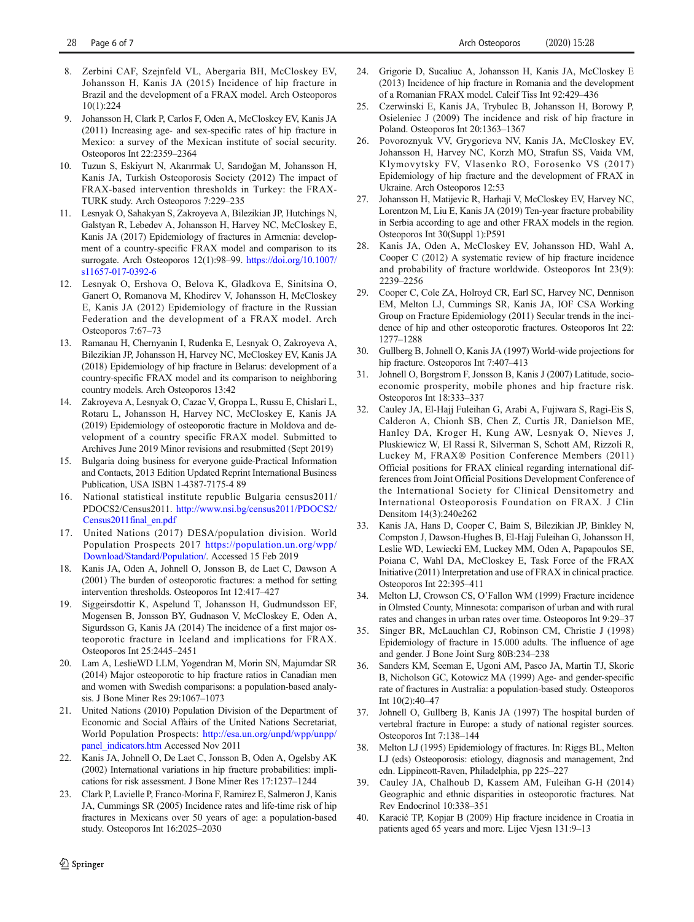- <span id="page-5-0"></span>8. Zerbini CAF, Szejnfeld VL, Abergaria BH, McCloskey EV, Johansson H, Kanis JA (2015) Incidence of hip fracture in Brazil and the development of a FRAX model. Arch Osteoporos 10(1):224
- 9. Johansson H, Clark P, Carlos F, Oden A, McCloskey EV, Kanis JA (2011) Increasing age- and sex-specific rates of hip fracture in Mexico: a survey of the Mexican institute of social security. Osteoporos Int 22:2359–2364
- 10. Tuzun S, Eskiyurt N, Akarırmak U, Sarıdoğan M, Johansson H, Kanis JA, Turkish Osteoporosis Society (2012) The impact of FRAX-based intervention thresholds in Turkey: the FRAX-TURK study. Arch Osteoporos 7:229–235
- 11. Lesnyak O, Sahakyan S, Zakroyeva A, Bilezikian JP, Hutchings N, Galstyan R, Lebedev A, Johansson H, Harvey NC, McCloskey E, Kanis JA (2017) Epidemiology of fractures in Armenia: development of a country-specific FRAX model and comparison to its surrogate. Arch Osteoporos 12(1):98–99. [https://doi.org/10.1007/](https://doi.org/10.1007/s11657-017-0392-6) [s11657-017-0392-6](https://doi.org/10.1007/s11657-017-0392-6)
- 12. Lesnyak O, Ershova O, Belova K, Gladkova E, Sinitsina O, Ganert O, Romanova M, Khodirev V, Johansson H, McCloskey E, Kanis JA (2012) Epidemiology of fracture in the Russian Federation and the development of a FRAX model. Arch Osteoporos 7:67–73
- 13. Ramanau H, Chernyanin I, Rudenka E, Lesnyak O, Zakroyeva A, Bilezikian JP, Johansson H, Harvey NC, McCloskey EV, Kanis JA (2018) Epidemiology of hip fracture in Belarus: development of a country-specific FRAX model and its comparison to neighboring country models. Arch Osteoporos 13:42
- 14. Zakroyeva A, Lesnyak O, Cazac V, Groppa L, Russu E, Chislari L, Rotaru L, Johansson H, Harvey NC, McCloskey E, Kanis JA (2019) Epidemiology of osteoporotic fracture in Moldova and development of a country specific FRAX model. Submitted to Archives June 2019 Minor revisions and resubmitted (Sept 2019)
- 15. Bulgaria doing business for everyone guide-Practical Information and Contacts, 2013 Edition Updated Reprint International Business Publication, USA ISBN 1-4387-7175-4 89
- 16. National statistical institute republic Bulgaria census2011/ PDOCS2/Census2011. [http://www.nsi.bg/census2011/PDOCS2/](http://www.nsi.bg/census2011/PDOCS2/Census2011final_en.pdf) [Census2011final\\_en.pdf](http://www.nsi.bg/census2011/PDOCS2/Census2011final_en.pdf)
- 17. United Nations (2017) DESA/population division. World Population Prospects 2017 [https://population.un.org/wpp/](https://population.un.org/wpp/Download/Standard/Population/) [Download/Standard/Population/.](https://population.un.org/wpp/Download/Standard/Population/) Accessed 15 Feb 2019
- 18. Kanis JA, Oden A, Johnell O, Jonsson B, de Laet C, Dawson A (2001) The burden of osteoporotic fractures: a method for setting intervention thresholds. Osteoporos Int 12:417–427
- 19. Siggeirsdottir K, Aspelund T, Johansson H, Gudmundsson EF, Mogensen B, Jonsson BY, Gudnason V, McCloskey E, Oden A, Sigurdsson G, Kanis JA (2014) The incidence of a first major osteoporotic fracture in Iceland and implications for FRAX. Osteoporos Int 25:2445–2451
- 20. Lam A, LeslieWD LLM, Yogendran M, Morin SN, Majumdar SR (2014) Major osteoporotic to hip fracture ratios in Canadian men and women with Swedish comparisons: a population-based analysis. J Bone Miner Res 29:1067–1073
- 21. United Nations (2010) Population Division of the Department of Economic and Social Affairs of the United Nations Secretariat, World Population Prospects: [http://esa.un.org/unpd/wpp/unpp/](http://esa.un.org/unpd/wpp/unpp/panel_indicators.htm) [panel\\_indicators.htm](http://esa.un.org/unpd/wpp/unpp/panel_indicators.htm) Accessed Nov 2011
- 22. Kanis JA, Johnell O, De Laet C, Jonsson B, Oden A, Ogelsby AK (2002) International variations in hip fracture probabilities: implications for risk assessment. J Bone Miner Res 17:1237–1244
- 23. Clark P, Lavielle P, Franco-Morina F, Ramirez E, Salmeron J, Kanis JA, Cummings SR (2005) Incidence rates and life-time risk of hip fractures in Mexicans over 50 years of age: a population-based study. Osteoporos Int 16:2025–2030
- 24. Grigorie D, Sucaliuc A, Johansson H, Kanis JA, McCloskey E (2013) Incidence of hip fracture in Romania and the development of a Romanian FRAX model. Calcif Tiss Int 92:429–436
- 25. Czerwinski E, Kanis JA, Trybulec B, Johansson H, Borowy P, Osieleniec J (2009) The incidence and risk of hip fracture in Poland. Osteoporos Int 20:1363–1367
- 26. Povoroznyuk VV, Grygorieva NV, Kanis JA, McCloskey EV, Johansson H, Harvey NC, Korzh MO, Strafun SS, Vaida VM, Klymovytsky FV, Vlasenko RO, Forosenko VS (2017) Epidemiology of hip fracture and the development of FRAX in Ukraine. Arch Osteoporos 12:53
- 27. Johansson H, Matijevic R, Harhaji V, McCloskey EV, Harvey NC, Lorentzon M, Liu E, Kanis JA (2019) Ten-year fracture probability in Serbia according to age and other FRAX models in the region. Osteoporos Int 30(Suppl 1):P591
- 28. Kanis JA, Oden A, McCloskey EV, Johansson HD, Wahl A, Cooper C (2012) A systematic review of hip fracture incidence and probability of fracture worldwide. Osteoporos Int 23(9): 2239–2256
- 29. Cooper C, Cole ZA, Holroyd CR, Earl SC, Harvey NC, Dennison EM, Melton LJ, Cummings SR, Kanis JA, IOF CSA Working Group on Fracture Epidemiology (2011) Secular trends in the incidence of hip and other osteoporotic fractures. Osteoporos Int 22: 1277–1288
- 30. Gullberg B, Johnell O, Kanis JA (1997) World-wide projections for hip fracture. Osteoporos Int 7:407–413
- 31. Johnell O, Borgstrom F, Jonsson B, Kanis J (2007) Latitude, socioeconomic prosperity, mobile phones and hip fracture risk. Osteoporos Int 18:333–337
- 32. Cauley JA, El-Hajj Fuleihan G, Arabi A, Fujiwara S, Ragi-Eis S, Calderon A, Chionh SB, Chen Z, Curtis JR, Danielson ME, Hanley DA, Kroger H, Kung AW, Lesnyak O, Nieves J, Pluskiewicz W, El Rassi R, Silverman S, Schott AM, Rizzoli R, Luckey M, FRAX® Position Conference Members (2011) Official positions for FRAX clinical regarding international differences from Joint Official Positions Development Conference of the International Society for Clinical Densitometry and International Osteoporosis Foundation on FRAX. J Clin Densitom 14(3):240e262
- 33. Kanis JA, Hans D, Cooper C, Baim S, Bilezikian JP, Binkley N, Compston J, Dawson-Hughes B, El-Hajj Fuleihan G, Johansson H, Leslie WD, Lewiecki EM, Luckey MM, Oden A, Papapoulos SE, Poiana C, Wahl DA, McCloskey E, Task Force of the FRAX Initiative (2011) Interpretation and use of FRAX in clinical practice. Osteoporos Int 22:395–411
- 34. Melton LJ, Crowson CS, O'Fallon WM (1999) Fracture incidence in Olmsted County, Minnesota: comparison of urban and with rural rates and changes in urban rates over time. Osteoporos Int 9:29–37
- 35. Singer BR, McLauchlan CJ, Robinson CM, Christie J (1998) Epidemiology of fracture in 15.000 adults. The influence of age and gender. J Bone Joint Surg 80B:234–238
- 36. Sanders KM, Seeman E, Ugoni AM, Pasco JA, Martin TJ, Skoric B, Nicholson GC, Kotowicz MA (1999) Age- and gender-specific rate of fractures in Australia: a population-based study. Osteoporos Int 10(2):40–47
- 37. Johnell O, Gullberg B, Kanis JA (1997) The hospital burden of vertebral fracture in Europe: a study of national register sources. Osteoporos Int 7:138–144
- 38. Melton LJ (1995) Epidemiology of fractures. In: Riggs BL, Melton LJ (eds) Osteoporosis: etiology, diagnosis and management, 2nd edn. Lippincott-Raven, Philadelphia, pp 225–227
- 39. Cauley JA, Chalhoub D, Kassem AM, Fuleihan G-H (2014) Geographic and ethnic disparities in osteoporotic fractures. Nat Rev Endocrinol 10:338–351
- 40. Karacić TP, Kopjar B (2009) Hip fracture incidence in Croatia in patients aged 65 years and more. Lijec Vjesn 131:9–13